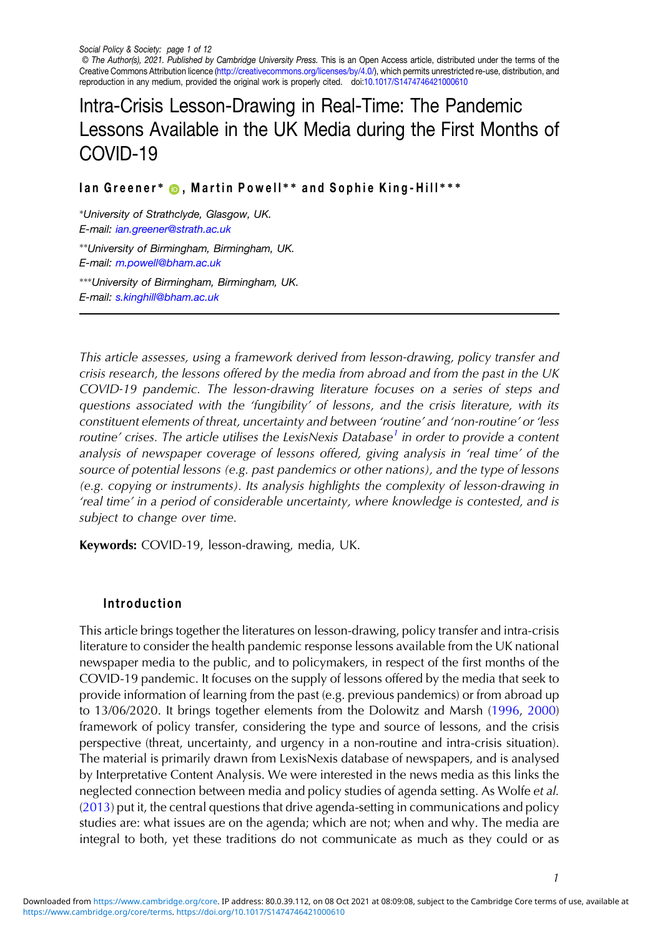Social Policy & Society: page 1 of 12 © The Author(s), 2021. Published by Cambridge University Press. This is an Open Access article, distributed under the terms of the Creative Commons Attribution licence [\(http://creativecommons.org/licenses/by/4.0/\)](http://creativecommons.org/licenses/by/4.0/), which permits unrestricted re-use, distribution, and reproduction in any medium, provided the original work is properly cited. doi[:10.1017/S1474746421000610](https://doi.org/10.1017/S1474746421000610)

# Intra-Crisis Lesson-Drawing in Real-Time: The Pandemic Lessons Available in the UK Media during the First Months of COVID-19

Ian Greener\* ©, Martin Powell\*\* and Sophie King-Hill\*\*\*

∗University of Strathclyde, Glasgow, UK. E-mail: [ian.greener@strath.ac.uk](mailto:ian.greener@strath.ac.uk) ∗∗University of Birmingham, Birmingham, UK. E-mail: [m.powell@bham.ac.uk](mailto:m.powell@bham.ac.uk)

∗∗∗University of Birmingham, Birmingham, UK. E-mail: [s.kinghill@bham.ac.uk](mailto:s.kinghill@bham.ac.uk)

This article assesses, using a framework derived from lesson-drawing, policy transfer and crisis research, the lessons offered by the media from abroad and from the past in the UK COVID-19 pandemic. The lesson-drawing literature focuses on a series of steps and questions associated with the 'fungibility' of lessons, and the crisis literature, with its constituent elements of threat, uncertainty and between 'routine' and 'non-routine' or 'less routine' crises. The article utilises the LexisNexis Database<sup>[1](#page-10-0)</sup> in order to provide a content analysis of newspaper coverage of lessons offered, giving analysis in 'real time' of the source of potential lessons (e.g. past pandemics or other nations), and the type of lessons (e.g. copying or instruments). Its analysis highlights the complexity of lesson-drawing in 'real time' in a period of considerable uncertainty, where knowledge is contested, and is subject to change over time.

Keywords: COVID-19, lesson-drawing, media, UK.

# Introduction

This article brings together the literatures on lesson-drawing, policy transfer and intra-crisis literature to consider the health pandemic response lessons available from the UK national newspaper media to the public, and to policymakers, in respect of the first months of the COVID-19 pandemic. It focuses on the supply of lessons offered by the media that seek to provide information of learning from the past (e.g. previous pandemics) or from abroad up to 13/06/2020. It brings together elements from the Dolowitz and Marsh [\(1996](#page-11-0), [2000](#page-11-0)) framework of policy transfer, considering the type and source of lessons, and the crisis perspective (threat, uncertainty, and urgency in a non-routine and intra-crisis situation). The material is primarily drawn from LexisNexis database of newspapers, and is analysed by Interpretative Content Analysis. We were interested in the news media as this links the neglected connection between media and policy studies of agenda setting. As Wolfe et al. ([2013\)](#page-11-0) put it, the central questions that drive agenda-setting in communications and policy studies are: what issues are on the agenda; which are not; when and why. The media are integral to both, yet these traditions do not communicate as much as they could or as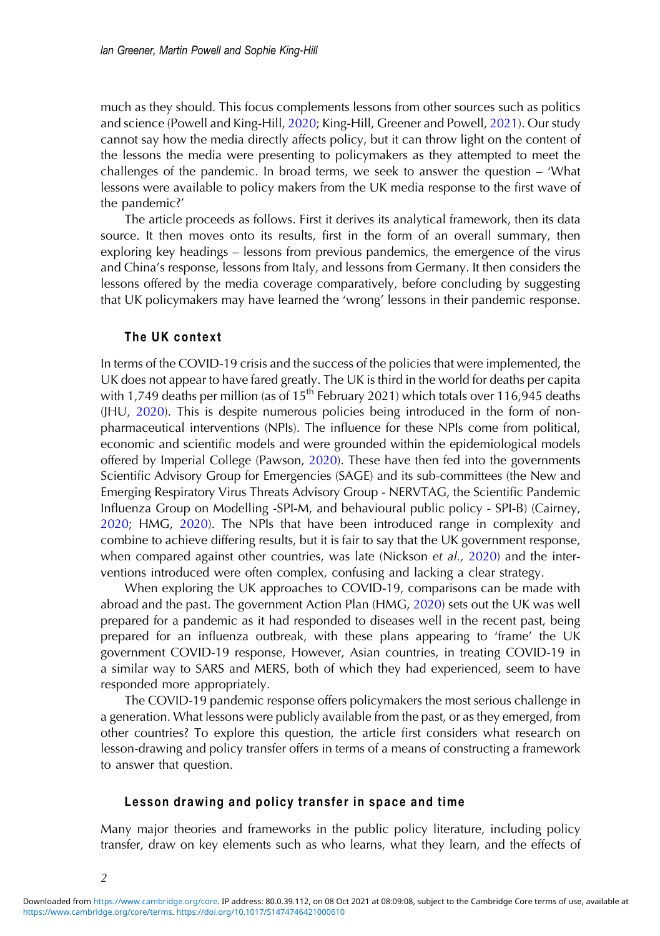much as they should. This focus complements lessons from other sources such as politics and science (Powell and King-Hill, [2020](#page-11-0); King-Hill, Greener and Powell, [2021](#page-11-0)). Our study cannot say how the media directly affects policy, but it can throw light on the content of the lessons the media were presenting to policymakers as they attempted to meet the challenges of the pandemic. In broad terms, we seek to answer the question – 'What lessons were available to policy makers from the UK media response to the first wave of the pandemic?'

The article proceeds as follows. First it derives its analytical framework, then its data source. It then moves onto its results, first in the form of an overall summary, then exploring key headings – lessons from previous pandemics, the emergence of the virus and China's response, lessons from Italy, and lessons from Germany. It then considers the lessons offered by the media coverage comparatively, before concluding by suggesting that UK policymakers may have learned the 'wrong' lessons in their pandemic response.

## The UK context

In terms of the COVID-19 crisis and the success of the policies that were implemented, the UK does not appear to have fared greatly. The UK is third in the world for deaths per capita with 1,749 deaths per million (as of  $15<sup>th</sup>$  February 2021) which totals over 116,945 deaths (JHU, [2020\)](#page-11-0). This is despite numerous policies being introduced in the form of nonpharmaceutical interventions (NPIs). The influence for these NPIs come from political, economic and scientific models and were grounded within the epidemiological models offered by Imperial College (Pawson, [2020](#page-11-0)). These have then fed into the governments Scientific Advisory Group for Emergencies (SAGE) and its sub-committees (the New and Emerging Respiratory Virus Threats Advisory Group - NERVTAG, the Scientific Pandemic Influenza Group on Modelling -SPI-M, and behavioural public policy - SPI-B) (Cairney, [2020](#page-11-0); HMG, [2020](#page-11-0)). The NPIs that have been introduced range in complexity and combine to achieve differing results, but it is fair to say that the UK government response, when compared against other countries, was late (Nickson et al., [2020](#page-11-0)) and the interventions introduced were often complex, confusing and lacking a clear strategy.

When exploring the UK approaches to COVID-19, comparisons can be made with abroad and the past. The government Action Plan (HMG, [2020](#page-11-0)) sets out the UK was well prepared for a pandemic as it had responded to diseases well in the recent past, being prepared for an influenza outbreak, with these plans appearing to 'frame' the UK government COVID-19 response, However, Asian countries, in treating COVID-19 in a similar way to SARS and MERS, both of which they had experienced, seem to have responded more appropriately.

The COVID-19 pandemic response offers policymakers the most serious challenge in a generation. What lessons were publicly available from the past, or as they emerged, from other countries? To explore this question, the article first considers what research on lesson-drawing and policy transfer offers in terms of a means of constructing a framework to answer that question.

#### Lesson drawing and policy transfer in space and time

Many major theories and frameworks in the public policy literature, including policy transfer, draw on key elements such as who learns, what they learn, and the effects of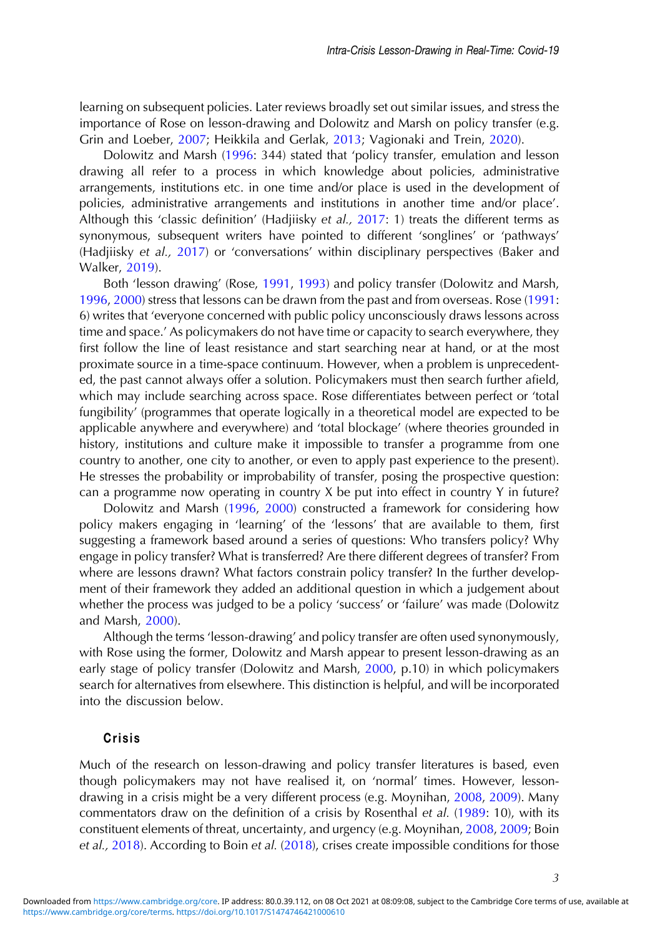learning on subsequent policies. Later reviews broadly set out similar issues, and stress the importance of Rose on lesson-drawing and Dolowitz and Marsh on policy transfer (e.g. Grin and Loeber, [2007](#page-11-0); Heikkila and Gerlak, [2013](#page-11-0); Vagionaki and Trein, [2020\)](#page-11-0).

Dolowitz and Marsh [\(1996](#page-11-0): 344) stated that 'policy transfer, emulation and lesson drawing all refer to a process in which knowledge about policies, administrative arrangements, institutions etc. in one time and/or place is used in the development of policies, administrative arrangements and institutions in another time and/or place'. Although this 'classic definition' (Hadjiisky et al., [2017](#page-11-0): 1) treats the different terms as synonymous, subsequent writers have pointed to different 'songlines' or 'pathways' (Hadjiisky et al., [2017](#page-11-0)) or 'conversations' within disciplinary perspectives (Baker and Walker, [2019\)](#page-11-0).

Both 'lesson drawing' (Rose, [1991](#page-11-0), [1993\)](#page-11-0) and policy transfer (Dolowitz and Marsh, [1996](#page-11-0), [2000\)](#page-11-0) stress that lessons can be drawn from the past and from overseas. Rose [\(1991](#page-11-0): 6) writes that 'everyone concerned with public policy unconsciously draws lessons across time and space.' As policymakers do not have time or capacity to search everywhere, they first follow the line of least resistance and start searching near at hand, or at the most proximate source in a time-space continuum. However, when a problem is unprecedented, the past cannot always offer a solution. Policymakers must then search further afield, which may include searching across space. Rose differentiates between perfect or 'total fungibility' (programmes that operate logically in a theoretical model are expected to be applicable anywhere and everywhere) and 'total blockage' (where theories grounded in history, institutions and culture make it impossible to transfer a programme from one country to another, one city to another, or even to apply past experience to the present). He stresses the probability or improbability of transfer, posing the prospective question: can a programme now operating in country X be put into effect in country Y in future?

Dolowitz and Marsh [\(1996](#page-11-0), [2000](#page-11-0)) constructed a framework for considering how policy makers engaging in 'learning' of the 'lessons' that are available to them, first suggesting a framework based around a series of questions: Who transfers policy? Why engage in policy transfer? What is transferred? Are there different degrees of transfer? From where are lessons drawn? What factors constrain policy transfer? In the further development of their framework they added an additional question in which a judgement about whether the process was judged to be a policy 'success' or 'failure' was made (Dolowitz and Marsh, [2000\)](#page-11-0).

Although the terms 'lesson-drawing' and policy transfer are often used synonymously, with Rose using the former, Dolowitz and Marsh appear to present lesson-drawing as an early stage of policy transfer (Dolowitz and Marsh, [2000,](#page-11-0) p.10) in which policymakers search for alternatives from elsewhere. This distinction is helpful, and will be incorporated into the discussion below.

## Crisis

Much of the research on lesson-drawing and policy transfer literatures is based, even though policymakers may not have realised it, on 'normal' times. However, lessondrawing in a crisis might be a very different process (e.g. Moynihan, [2008](#page-11-0), [2009\)](#page-11-0). Many commentators draw on the definition of a crisis by Rosenthal et al. [\(1989](#page-11-0): 10), with its constituent elements of threat, uncertainty, and urgency (e.g. Moynihan, [2008](#page-11-0), [2009;](#page-11-0) Boin et al., [2018\)](#page-11-0). According to Boin et al. [\(2018](#page-11-0)), crises create impossible conditions for those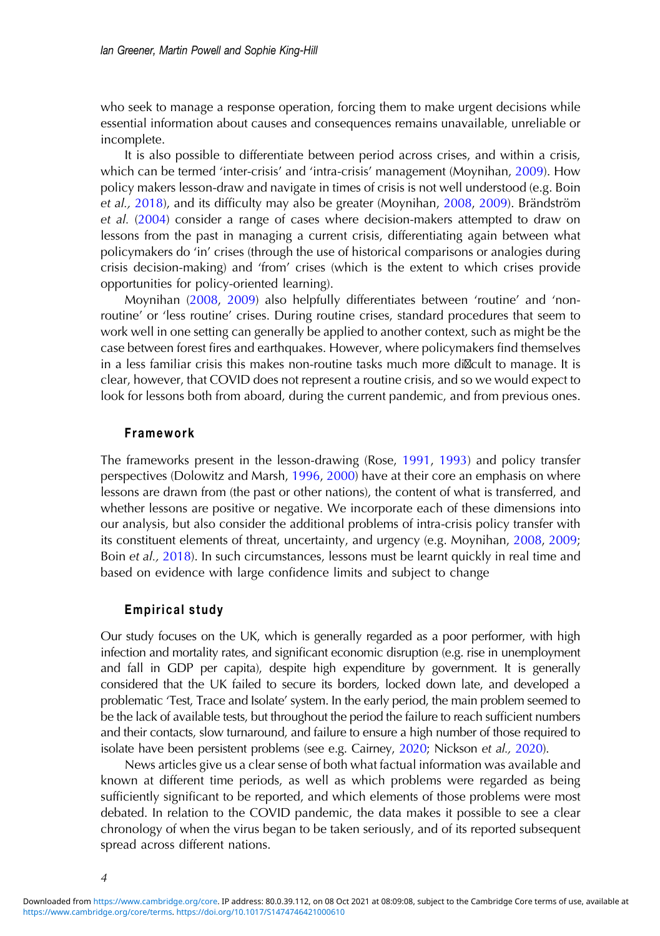who seek to manage a response operation, forcing them to make urgent decisions while essential information about causes and consequences remains unavailable, unreliable or incomplete.

It is also possible to differentiate between period across crises, and within a crisis, which can be termed 'inter-crisis' and 'intra-crisis' management (Moynihan, [2009](#page-11-0)). How policy makers lesson-draw and navigate in times of crisis is not well understood (e.g. Boin et al., [2018\)](#page-11-0), and its difficulty may also be greater (Moynihan, [2008,](#page-11-0) [2009](#page-11-0)). Brändström et al. [\(2004](#page-11-0)) consider a range of cases where decision-makers attempted to draw on lessons from the past in managing a current crisis, differentiating again between what policymakers do 'in' crises (through the use of historical comparisons or analogies during crisis decision-making) and 'from' crises (which is the extent to which crises provide opportunities for policy-oriented learning).

Moynihan ([2008,](#page-11-0) [2009\)](#page-11-0) also helpfully differentiates between 'routine' and 'nonroutine' or 'less routine' crises. During routine crises, standard procedures that seem to work well in one setting can generally be applied to another context, such as might be the case between forest fires and earthquakes. However, where policymakers find themselves in a less familiar crisis this makes non-routine tasks much more di $\mathbb{Z}$ cult to manage. It is clear, however, that COVID does not represent a routine crisis, and so we would expect to look for lessons both from aboard, during the current pandemic, and from previous ones.

#### Framework

The frameworks present in the lesson-drawing (Rose, [1991,](#page-11-0) [1993](#page-11-0)) and policy transfer perspectives (Dolowitz and Marsh, [1996](#page-11-0), [2000](#page-11-0)) have at their core an emphasis on where lessons are drawn from (the past or other nations), the content of what is transferred, and whether lessons are positive or negative. We incorporate each of these dimensions into our analysis, but also consider the additional problems of intra-crisis policy transfer with its constituent elements of threat, uncertainty, and urgency (e.g. Moynihan, [2008,](#page-11-0) [2009](#page-11-0); Boin et al., [2018\)](#page-11-0). In such circumstances, lessons must be learnt quickly in real time and based on evidence with large confidence limits and subject to change

### Empirical study

Our study focuses on the UK, which is generally regarded as a poor performer, with high infection and mortality rates, and significant economic disruption (e.g. rise in unemployment and fall in GDP per capita), despite high expenditure by government. It is generally considered that the UK failed to secure its borders, locked down late, and developed a problematic 'Test, Trace and Isolate' system. In the early period, the main problem seemed to be the lack of available tests, but throughout the period the failure to reach sufficient numbers and their contacts, slow turnaround, and failure to ensure a high number of those required to isolate have been persistent problems (see e.g. Cairney, [2020;](#page-11-0) Nickson et al., [2020\)](#page-11-0).

News articles give us a clear sense of both what factual information was available and known at different time periods, as well as which problems were regarded as being sufficiently significant to be reported, and which elements of those problems were most debated. In relation to the COVID pandemic, the data makes it possible to see a clear chronology of when the virus began to be taken seriously, and of its reported subsequent spread across different nations.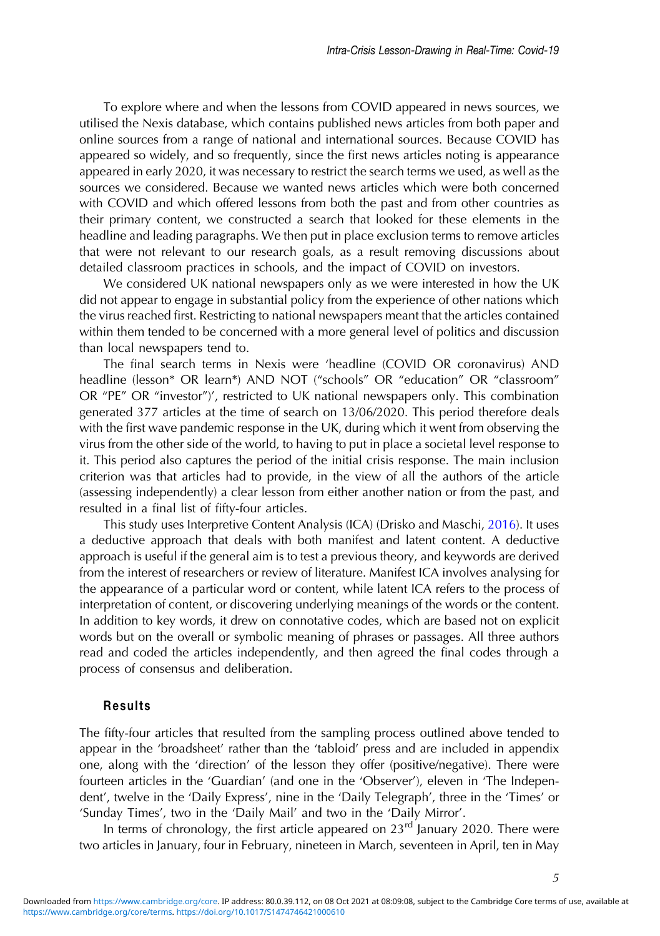To explore where and when the lessons from COVID appeared in news sources, we utilised the Nexis database, which contains published news articles from both paper and online sources from a range of national and international sources. Because COVID has appeared so widely, and so frequently, since the first news articles noting is appearance appeared in early 2020, it was necessary to restrict the search terms we used, as well as the sources we considered. Because we wanted news articles which were both concerned with COVID and which offered lessons from both the past and from other countries as their primary content, we constructed a search that looked for these elements in the headline and leading paragraphs. We then put in place exclusion terms to remove articles that were not relevant to our research goals, as a result removing discussions about detailed classroom practices in schools, and the impact of COVID on investors.

We considered UK national newspapers only as we were interested in how the UK did not appear to engage in substantial policy from the experience of other nations which the virus reached first. Restricting to national newspapers meant that the articles contained within them tended to be concerned with a more general level of politics and discussion than local newspapers tend to.

The final search terms in Nexis were 'headline (COVID OR coronavirus) AND headline (lesson\* OR learn\*) AND NOT ("schools" OR "education" OR "classroom" OR "PE" OR "investor")', restricted to UK national newspapers only. This combination generated 377 articles at the time of search on 13/06/2020. This period therefore deals with the first wave pandemic response in the UK, during which it went from observing the virus from the other side of the world, to having to put in place a societal level response to it. This period also captures the period of the initial crisis response. The main inclusion criterion was that articles had to provide, in the view of all the authors of the article (assessing independently) a clear lesson from either another nation or from the past, and resulted in a final list of fifty-four articles.

This study uses Interpretive Content Analysis (ICA) (Drisko and Maschi, [2016\)](#page-11-0). It uses a deductive approach that deals with both manifest and latent content. A deductive approach is useful if the general aim is to test a previous theory, and keywords are derived from the interest of researchers or review of literature. Manifest ICA involves analysing for the appearance of a particular word or content, while latent ICA refers to the process of interpretation of content, or discovering underlying meanings of the words or the content. In addition to key words, it drew on connotative codes, which are based not on explicit words but on the overall or symbolic meaning of phrases or passages. All three authors read and coded the articles independently, and then agreed the final codes through a process of consensus and deliberation.

## Results

The fifty-four articles that resulted from the sampling process outlined above tended to appear in the 'broadsheet' rather than the 'tabloid' press and are included in appendix one, along with the 'direction' of the lesson they offer (positive/negative). There were fourteen articles in the 'Guardian' (and one in the 'Observer'), eleven in 'The Independent', twelve in the 'Daily Express', nine in the 'Daily Telegraph', three in the 'Times' or 'Sunday Times', two in the 'Daily Mail' and two in the 'Daily Mirror'.

In terms of chronology, the first article appeared on  $23<sup>rd</sup>$  January 2020. There were two articles in January, four in February, nineteen in March, seventeen in April, ten in May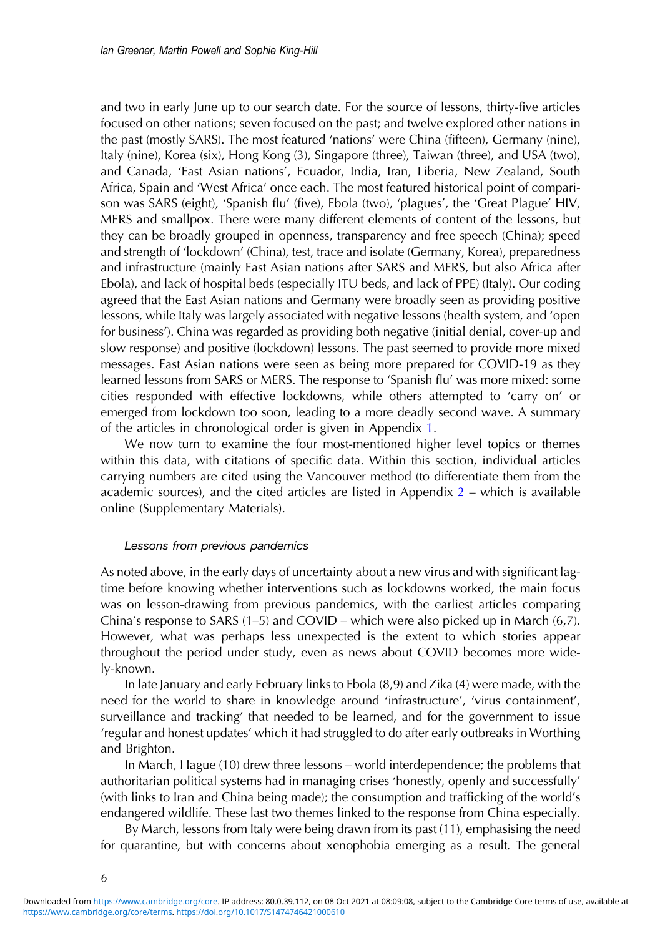and two in early June up to our search date. For the source of lessons, thirty-five articles focused on other nations; seven focused on the past; and twelve explored other nations in the past (mostly SARS). The most featured 'nations' were China (fifteen), Germany (nine), Italy (nine), Korea (six), Hong Kong (3), Singapore (three), Taiwan (three), and USA (two), and Canada, 'East Asian nations', Ecuador, India, Iran, Liberia, New Zealand, South Africa, Spain and 'West Africa' once each. The most featured historical point of comparison was SARS (eight), 'Spanish flu' (five), Ebola (two), 'plagues', the 'Great Plague' HIV, MERS and smallpox. There were many different elements of content of the lessons, but they can be broadly grouped in openness, transparency and free speech (China); speed and strength of 'lockdown' (China), test, trace and isolate (Germany, Korea), preparedness and infrastructure (mainly East Asian nations after SARS and MERS, but also Africa after Ebola), and lack of hospital beds (especially ITU beds, and lack of PPE) (Italy). Our coding agreed that the East Asian nations and Germany were broadly seen as providing positive lessons, while Italy was largely associated with negative lessons (health system, and 'open for business'). China was regarded as providing both negative (initial denial, cover-up and slow response) and positive (lockdown) lessons. The past seemed to provide more mixed messages. East Asian nations were seen as being more prepared for COVID-19 as they learned lessons from SARS or MERS. The response to 'Spanish flu' was more mixed: some cities responded with effective lockdowns, while others attempted to 'carry on' or emerged from lockdown too soon, leading to a more deadly second wave. A summary of the articles in chronological order is given in Appendix [1.](https://doi.org/10.1017/S1474746421000610)

We now turn to examine the four most-mentioned higher level topics or themes within this data, with citations of specific data. Within this section, individual articles carrying numbers are cited using the Vancouver method (to differentiate them from the academic sources), and the cited articles are listed in Appendix  $2$  – which is available online (Supplementary Materials).

### Lessons from previous pandemics

As noted above, in the early days of uncertainty about a new virus and with significant lagtime before knowing whether interventions such as lockdowns worked, the main focus was on lesson-drawing from previous pandemics, with the earliest articles comparing China's response to SARS (1–5) and COVID – which were also picked up in March (6,7). However, what was perhaps less unexpected is the extent to which stories appear throughout the period under study, even as news about COVID becomes more widely-known.

In late January and early February links to Ebola (8,9) and Zika (4) were made, with the need for the world to share in knowledge around 'infrastructure', 'virus containment', surveillance and tracking' that needed to be learned, and for the government to issue 'regular and honest updates' which it had struggled to do after early outbreaks in Worthing and Brighton.

In March, Hague (10) drew three lessons – world interdependence; the problems that authoritarian political systems had in managing crises 'honestly, openly and successfully' (with links to Iran and China being made); the consumption and trafficking of the world's endangered wildlife. These last two themes linked to the response from China especially.

By March, lessons from Italy were being drawn from its past (11), emphasising the need for quarantine, but with concerns about xenophobia emerging as a result. The general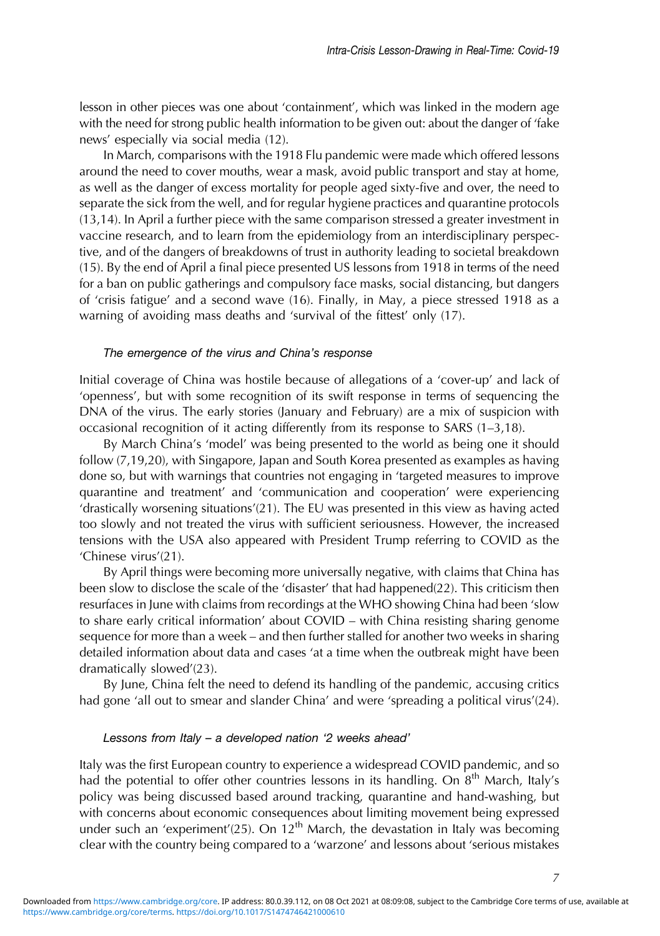lesson in other pieces was one about 'containment', which was linked in the modern age with the need for strong public health information to be given out: about the danger of 'fake news' especially via social media (12).

In March, comparisons with the 1918 Flu pandemic were made which offered lessons around the need to cover mouths, wear a mask, avoid public transport and stay at home, as well as the danger of excess mortality for people aged sixty-five and over, the need to separate the sick from the well, and for regular hygiene practices and quarantine protocols (13,14). In April a further piece with the same comparison stressed a greater investment in vaccine research, and to learn from the epidemiology from an interdisciplinary perspective, and of the dangers of breakdowns of trust in authority leading to societal breakdown (15). By the end of April a final piece presented US lessons from 1918 in terms of the need for a ban on public gatherings and compulsory face masks, social distancing, but dangers of 'crisis fatigue' and a second wave (16). Finally, in May, a piece stressed 1918 as a warning of avoiding mass deaths and 'survival of the fittest' only (17).

### The emergence of the virus and China's response

Initial coverage of China was hostile because of allegations of a 'cover-up' and lack of 'openness', but with some recognition of its swift response in terms of sequencing the DNA of the virus. The early stories (January and February) are a mix of suspicion with occasional recognition of it acting differently from its response to SARS (1–3,18).

By March China's 'model' was being presented to the world as being one it should follow (7,19,20), with Singapore, Japan and South Korea presented as examples as having done so, but with warnings that countries not engaging in 'targeted measures to improve quarantine and treatment' and 'communication and cooperation' were experiencing 'drastically worsening situations'(21). The EU was presented in this view as having acted too slowly and not treated the virus with sufficient seriousness. However, the increased tensions with the USA also appeared with President Trump referring to COVID as the 'Chinese virus'(21).

By April things were becoming more universally negative, with claims that China has been slow to disclose the scale of the 'disaster' that had happened(22). This criticism then resurfaces in June with claims from recordings at the WHO showing China had been 'slow to share early critical information' about COVID – with China resisting sharing genome sequence for more than a week – and then further stalled for another two weeks in sharing detailed information about data and cases 'at a time when the outbreak might have been dramatically slowed'(23).

By June, China felt the need to defend its handling of the pandemic, accusing critics had gone 'all out to smear and slander China' and were 'spreading a political virus'(24).

#### Lessons from Italy – a developed nation '2 weeks ahead'

Italy was the first European country to experience a widespread COVID pandemic, and so had the potential to offer other countries lessons in its handling. On  $8<sup>th</sup>$  March, Italy's policy was being discussed based around tracking, quarantine and hand-washing, but with concerns about economic consequences about limiting movement being expressed under such an 'experiment'(25). On  $12<sup>th</sup>$  March, the devastation in Italy was becoming clear with the country being compared to a 'warzone' and lessons about 'serious mistakes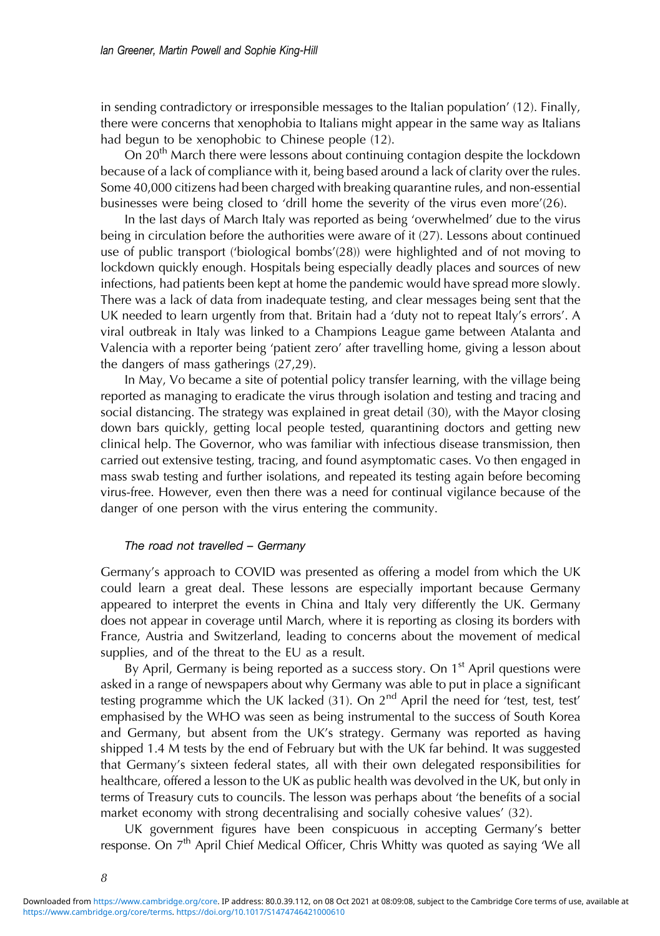in sending contradictory or irresponsible messages to the Italian population' (12). Finally, there were concerns that xenophobia to Italians might appear in the same way as Italians had begun to be xenophobic to Chinese people (12).

On 20<sup>th</sup> March there were lessons about continuing contagion despite the lockdown because of a lack of compliance with it, being based around a lack of clarity over the rules. Some 40,000 citizens had been charged with breaking quarantine rules, and non-essential businesses were being closed to 'drill home the severity of the virus even more'(26).

In the last days of March Italy was reported as being 'overwhelmed' due to the virus being in circulation before the authorities were aware of it (27). Lessons about continued use of public transport ('biological bombs'(28)) were highlighted and of not moving to lockdown quickly enough. Hospitals being especially deadly places and sources of new infections, had patients been kept at home the pandemic would have spread more slowly. There was a lack of data from inadequate testing, and clear messages being sent that the UK needed to learn urgently from that. Britain had a 'duty not to repeat Italy's errors'. A viral outbreak in Italy was linked to a Champions League game between Atalanta and Valencia with a reporter being 'patient zero' after travelling home, giving a lesson about the dangers of mass gatherings (27,29).

In May, Vo became a site of potential policy transfer learning, with the village being reported as managing to eradicate the virus through isolation and testing and tracing and social distancing. The strategy was explained in great detail (30), with the Mayor closing down bars quickly, getting local people tested, quarantining doctors and getting new clinical help. The Governor, who was familiar with infectious disease transmission, then carried out extensive testing, tracing, and found asymptomatic cases. Vo then engaged in mass swab testing and further isolations, and repeated its testing again before becoming virus-free. However, even then there was a need for continual vigilance because of the danger of one person with the virus entering the community.

#### The road not travelled – Germany

Germany's approach to COVID was presented as offering a model from which the UK could learn a great deal. These lessons are especially important because Germany appeared to interpret the events in China and Italy very differently the UK. Germany does not appear in coverage until March, where it is reporting as closing its borders with France, Austria and Switzerland, leading to concerns about the movement of medical supplies, and of the threat to the EU as a result.

By April, Germany is being reported as a success story. On  $1<sup>st</sup>$  April questions were asked in a range of newspapers about why Germany was able to put in place a significant testing programme which the UK lacked (31). On  $2^{nd}$  April the need for 'test, test, test' emphasised by the WHO was seen as being instrumental to the success of South Korea and Germany, but absent from the UK's strategy. Germany was reported as having shipped 1.4 M tests by the end of February but with the UK far behind. It was suggested that Germany's sixteen federal states, all with their own delegated responsibilities for healthcare, offered a lesson to the UK as public health was devolved in the UK, but only in terms of Treasury cuts to councils. The lesson was perhaps about 'the benefits of a social market economy with strong decentralising and socially cohesive values' (32).

UK government figures have been conspicuous in accepting Germany's better response. On 7<sup>th</sup> April Chief Medical Officer, Chris Whitty was quoted as saying 'We all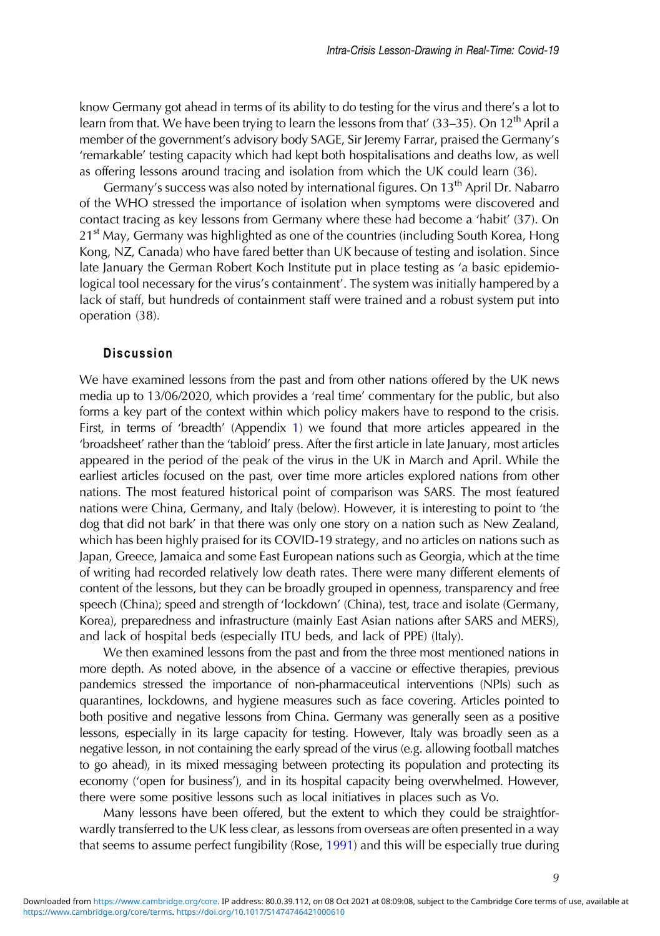know Germany got ahead in terms of its ability to do testing for the virus and there's a lot to learn from that. We have been trying to learn the lessons from that'  $(33-35)$ . On  $12<sup>th</sup>$  April a member of the government's advisory body SAGE, Sir Jeremy Farrar, praised the Germany's 'remarkable' testing capacity which had kept both hospitalisations and deaths low, as well as offering lessons around tracing and isolation from which the UK could learn (36).

Germany's success was also noted by international figures. On 13<sup>th</sup> April Dr. Nabarro of the WHO stressed the importance of isolation when symptoms were discovered and contact tracing as key lessons from Germany where these had become a 'habit' (37). On 21<sup>st</sup> May, Germany was highlighted as one of the countries (including South Korea, Hong Kong, NZ, Canada) who have fared better than UK because of testing and isolation. Since late January the German Robert Koch Institute put in place testing as 'a basic epidemiological tool necessary for the virus's containment'. The system was initially hampered by a lack of staff, but hundreds of containment staff were trained and a robust system put into operation (38).

## **Discussion**

We have examined lessons from the past and from other nations offered by the UK news media up to 13/06/2020, which provides a 'real time' commentary for the public, but also forms a key part of the context within which policy makers have to respond to the crisis. First, in terms of 'breadth' (Appendix [1\)](https://doi.org/10.1017/S1474746421000610) we found that more articles appeared in the 'broadsheet' rather than the 'tabloid' press. After the first article in late January, most articles appeared in the period of the peak of the virus in the UK in March and April. While the earliest articles focused on the past, over time more articles explored nations from other nations. The most featured historical point of comparison was SARS. The most featured nations were China, Germany, and Italy (below). However, it is interesting to point to 'the dog that did not bark' in that there was only one story on a nation such as New Zealand, which has been highly praised for its COVID-19 strategy, and no articles on nations such as Japan, Greece, Jamaica and some East European nations such as Georgia, which at the time of writing had recorded relatively low death rates. There were many different elements of content of the lessons, but they can be broadly grouped in openness, transparency and free speech (China); speed and strength of 'lockdown' (China), test, trace and isolate (Germany, Korea), preparedness and infrastructure (mainly East Asian nations after SARS and MERS), and lack of hospital beds (especially ITU beds, and lack of PPE) (Italy).

We then examined lessons from the past and from the three most mentioned nations in more depth. As noted above, in the absence of a vaccine or effective therapies, previous pandemics stressed the importance of non-pharmaceutical interventions (NPIs) such as quarantines, lockdowns, and hygiene measures such as face covering. Articles pointed to both positive and negative lessons from China. Germany was generally seen as a positive lessons, especially in its large capacity for testing. However, Italy was broadly seen as a negative lesson, in not containing the early spread of the virus (e.g. allowing football matches to go ahead), in its mixed messaging between protecting its population and protecting its economy ('open for business'), and in its hospital capacity being overwhelmed. However, there were some positive lessons such as local initiatives in places such as Vo.

Many lessons have been offered, but the extent to which they could be straightforwardly transferred to the UK less clear, as lessons from overseas are often presented in a way that seems to assume perfect fungibility (Rose, [1991](#page-11-0)) and this will be especially true during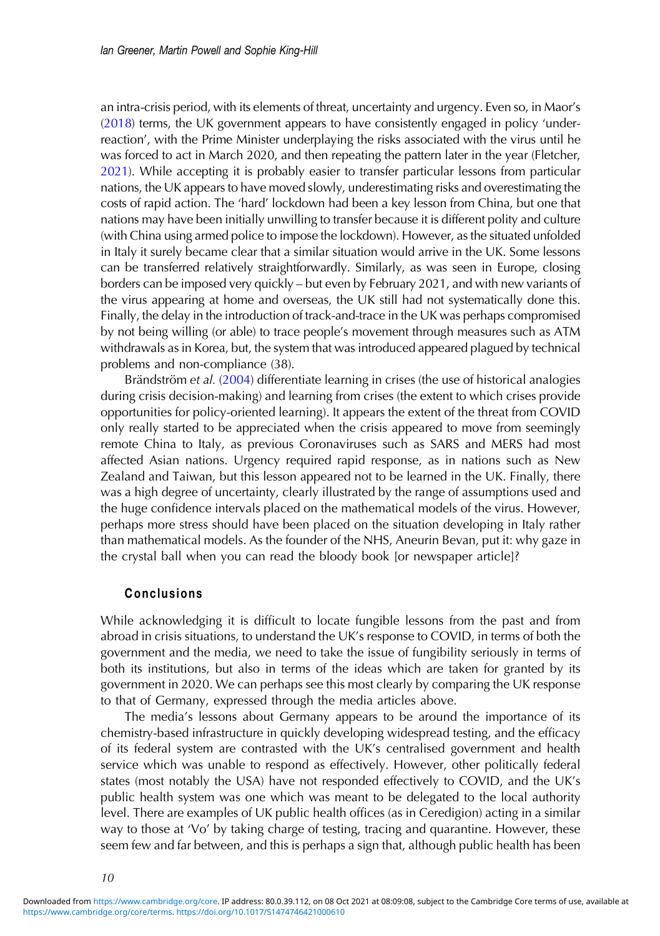an intra-crisis period, with its elements of threat, uncertainty and urgency. Even so, in Maor's ([2018](#page-11-0)) terms, the UK government appears to have consistently engaged in policy 'underreaction', with the Prime Minister underplaying the risks associated with the virus until he was forced to act in March 2020, and then repeating the pattern later in the year (Fletcher, [2021\)](#page-11-0). While accepting it is probably easier to transfer particular lessons from particular nations, the UK appears to have moved slowly, underestimating risks and overestimating the costs of rapid action. The 'hard' lockdown had been a key lesson from China, but one that nations may have been initially unwilling to transfer because it is different polity and culture (with China using armed police to impose the lockdown). However, as the situated unfolded in Italy it surely became clear that a similar situation would arrive in the UK. Some lessons can be transferred relatively straightforwardly. Similarly, as was seen in Europe, closing borders can be imposed very quickly – but even by February 2021, and with new variants of the virus appearing at home and overseas, the UK still had not systematically done this. Finally, the delay in the introduction of track-and-trace in the UK was perhaps compromised by not being willing (or able) to trace people's movement through measures such as ATM withdrawals as in Korea, but, the system that was introduced appeared plagued by technical problems and non-compliance (38).

Brändström et al. [\(2004](#page-11-0)) differentiate learning in crises (the use of historical analogies during crisis decision-making) and learning from crises (the extent to which crises provide opportunities for policy-oriented learning). It appears the extent of the threat from COVID only really started to be appreciated when the crisis appeared to move from seemingly remote China to Italy, as previous Coronaviruses such as SARS and MERS had most affected Asian nations. Urgency required rapid response, as in nations such as New Zealand and Taiwan, but this lesson appeared not to be learned in the UK. Finally, there was a high degree of uncertainty, clearly illustrated by the range of assumptions used and the huge confidence intervals placed on the mathematical models of the virus. However, perhaps more stress should have been placed on the situation developing in Italy rather than mathematical models. As the founder of the NHS, Aneurin Bevan, put it: why gaze in the crystal ball when you can read the bloody book [or newspaper article]?

## Conclusions

While acknowledging it is difficult to locate fungible lessons from the past and from abroad in crisis situations, to understand the UK's response to COVID, in terms of both the government and the media, we need to take the issue of fungibility seriously in terms of both its institutions, but also in terms of the ideas which are taken for granted by its government in 2020. We can perhaps see this most clearly by comparing the UK response to that of Germany, expressed through the media articles above.

The media's lessons about Germany appears to be around the importance of its chemistry-based infrastructure in quickly developing widespread testing, and the efficacy of its federal system are contrasted with the UK's centralised government and health service which was unable to respond as effectively. However, other politically federal states (most notably the USA) have not responded effectively to COVID, and the UK's public health system was one which was meant to be delegated to the local authority level. There are examples of UK public health offices (as in Ceredigion) acting in a similar way to those at 'Vo' by taking charge of testing, tracing and quarantine. However, these seem few and far between, and this is perhaps a sign that, although public health has been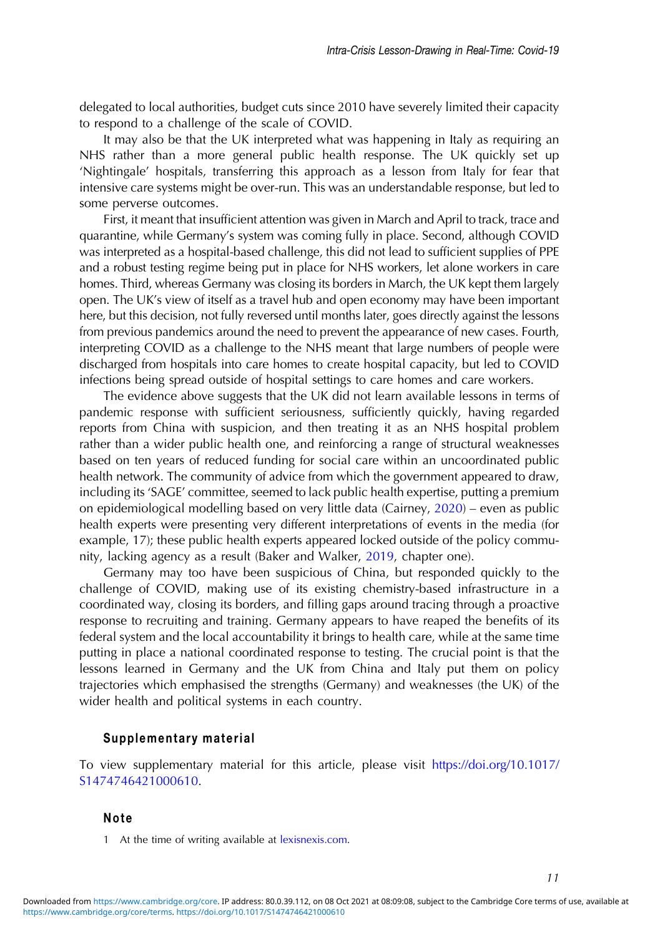<span id="page-10-0"></span>delegated to local authorities, budget cuts since 2010 have severely limited their capacity to respond to a challenge of the scale of COVID.

It may also be that the UK interpreted what was happening in Italy as requiring an NHS rather than a more general public health response. The UK quickly set up 'Nightingale' hospitals, transferring this approach as a lesson from Italy for fear that intensive care systems might be over-run. This was an understandable response, but led to some perverse outcomes.

First, it meant that insufficient attention was given in March and April to track, trace and quarantine, while Germany's system was coming fully in place. Second, although COVID was interpreted as a hospital-based challenge, this did not lead to sufficient supplies of PPE and a robust testing regime being put in place for NHS workers, let alone workers in care homes. Third, whereas Germany was closing its borders in March, the UK kept them largely open. The UK's view of itself as a travel hub and open economy may have been important here, but this decision, not fully reversed until months later, goes directly against the lessons from previous pandemics around the need to prevent the appearance of new cases. Fourth, interpreting COVID as a challenge to the NHS meant that large numbers of people were discharged from hospitals into care homes to create hospital capacity, but led to COVID infections being spread outside of hospital settings to care homes and care workers.

The evidence above suggests that the UK did not learn available lessons in terms of pandemic response with sufficient seriousness, sufficiently quickly, having regarded reports from China with suspicion, and then treating it as an NHS hospital problem rather than a wider public health one, and reinforcing a range of structural weaknesses based on ten years of reduced funding for social care within an uncoordinated public health network. The community of advice from which the government appeared to draw, including its 'SAGE' committee, seemed to lack public health expertise, putting a premium on epidemiological modelling based on very little data (Cairney, [2020\)](#page-11-0) – even as public health experts were presenting very different interpretations of events in the media (for example, 17); these public health experts appeared locked outside of the policy community, lacking agency as a result (Baker and Walker, [2019](#page-11-0), chapter one).

Germany may too have been suspicious of China, but responded quickly to the challenge of COVID, making use of its existing chemistry-based infrastructure in a coordinated way, closing its borders, and filling gaps around tracing through a proactive response to recruiting and training. Germany appears to have reaped the benefits of its federal system and the local accountability it brings to health care, while at the same time putting in place a national coordinated response to testing. The crucial point is that the lessons learned in Germany and the UK from China and Italy put them on policy trajectories which emphasised the strengths (Germany) and weaknesses (the UK) of the wider health and political systems in each country.

#### Supplementary material

To view supplementary material for this article, please visit [https://doi.org/10.1017/](https://doi.org/10.1017/S1474746421000610) [S1474746421000610](https://doi.org/10.1017/S1474746421000610).

#### Note

1 At the time of writing available at [lexisnexis.com](http://www.lexisnexis.com).